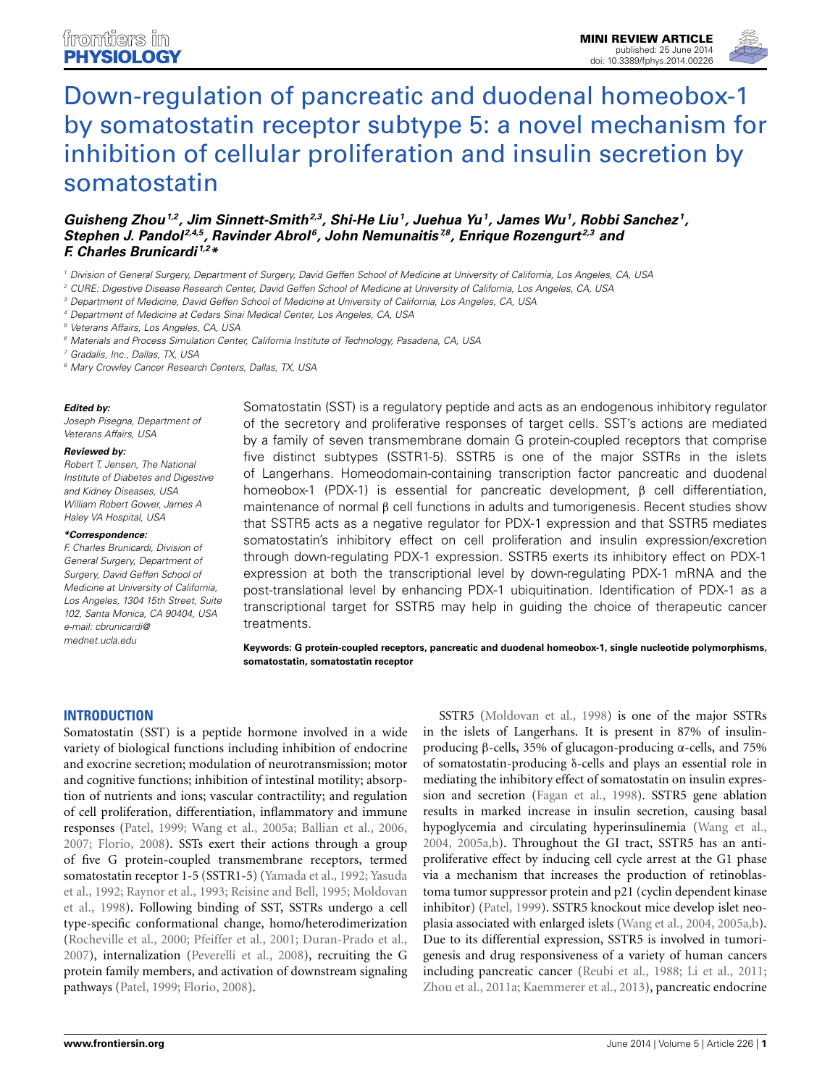

# Down-regulation of pancreatic and duodenal homeobox-1 [by somatostatin receptor subtype 5: a novel mechanism for](http://www.frontiersin.org/journal/10.3389/fphys.2014.00226/abstract) inhibition of cellular proliferation and insulin secretion by somatostatin

*[Guisheng Zhou](http://community.frontiersin.org/people/u/142500)1,2, Jim Sinnett-Smith2,3, Shi-He Liu1, Juehua Yu1, [James Wu1](http://community.frontiersin.org/people/u/166440), [Robbi Sanchez](http://community.frontiersin.org/people/u/166642) 1, [Stephen J. Pandol](http://community.frontiersin.org/people/u/16958) 2,4,5, [Ravinder Abrol](http://community.frontiersin.org/people/u/17865) 6, John Nemunaitis 7,8, [Enrique Rozengurt](http://community.frontiersin.org/people/u/4350) 2,3 and [F. Charles Brunicardi](http://community.frontiersin.org/people/u/58895) 1,2\**

*<sup>1</sup> Division of General Surgery, Department of Surgery, David Geffen School of Medicine at University of California, Los Angeles, CA, USA*

*<sup>2</sup> CURE: Digestive Disease Research Center, David Geffen School of Medicine at University of California, Los Angeles, CA, USA*

*<sup>3</sup> Department of Medicine, David Geffen School of Medicine at University of California, Los Angeles, CA, USA*

*<sup>4</sup> Department of Medicine at Cedars Sinai Medical Center, Los Angeles, CA, USA*

*<sup>5</sup> Veterans Affairs, Los Angeles, CA, USA*

*<sup>6</sup> Materials and Process Simulation Center, California Institute of Technology, Pasadena, CA, USA*

*<sup>7</sup> Gradalis, Inc., Dallas, TX, USA*

*<sup>8</sup> Mary Crowley Cancer Research Centers, Dallas, TX, USA*

#### *Edited by:*

*Joseph Pisegna, Department of Veterans Affairs, USA*

#### *Reviewed by:*

*Robert T. Jensen, The National Institute of Diabetes and Digestive and Kidney Diseases, USA William Robert Gower, James A Haley VA Hospital, USA*

#### *\*Correspondence:*

*F. Charles Brunicardi, Division of General Surgery, Department of Surgery, David Geffen School of Medicine at University of California, Los Angeles, 1304 15th Street, Suite 102, Santa Monica, CA 90404, USA e-mail: [cbrunicardi@](mailto:cbrunicardi@mednet.ucla.edu) [mednet.ucla.edu](mailto:cbrunicardi@mednet.ucla.edu)*

Somatostatin (SST) is a regulatory peptide and acts as an endogenous inhibitory regulator of the secretory and proliferative responses of target cells. SST's actions are mediated by a family of seven transmembrane domain G protein-coupled receptors that comprise five distinct subtypes (SSTR1-5). SSTR5 is one of the major SSTRs in the islets of Langerhans. Homeodomain-containing transcription factor pancreatic and duodenal homeobox-1 (PDX-1) is essential for pancreatic development, β cell differentiation, maintenance of normal β cell functions in adults and tumorigenesis. Recent studies show that SSTR5 acts as a negative regulator for PDX-1 expression and that SSTR5 mediates somatostatin's inhibitory effect on cell proliferation and insulin expression/excretion through down-regulating PDX-1 expression. SSTR5 exerts its inhibitory effect on PDX-1 expression at both the transcriptional level by down-regulating PDX-1 mRNA and the post-translational level by enhancing PDX-1 ubiquitination. Identification of PDX-1 as a transcriptional target for SSTR5 may help in guiding the choice of therapeutic cancer treatments.

**Keywords: G protein-coupled receptors, pancreatic and duodenal homeobox-1, single nucleotide polymorphisms, somatostatin, somatostatin receptor**

#### **INTRODUCTION**

Somatostatin (SST) is a peptide hormone involved in a wide variety of biological functions including inhibition of endocrine and exocrine secretion; modulation of neurotransmission; motor and cognitive functions; inhibition of intestinal motility; absorption of nutrients and ions; vascular contractility; and regulation of cell proliferation, differentiation, inflammatory and immune responses [\(Patel, 1999;](#page-5-0) [Wang et al.](#page-6-0), [2005a;](#page-6-0) [Ballian et al., 2006,](#page-4-0) [2007;](#page-4-1) [Florio, 2008](#page-4-2)). SSTs exert their actions through a group of five G protein-coupled transmembrane receptors, termed som[atostatin receptor 1-5 \(SSTR1-5\)](#page-6-2) [\(Yamada et al.](#page-6-1)[,](#page-6-2) [1992](#page-6-1)[;](#page-6-2) Yasuda et al.[,](#page-5-3) [1992](#page-6-2)[;](#page-5-3) [Raynor et al., 1993](#page-5-1)[;](#page-5-3) [Reisine and Bell](#page-5-2)[,](#page-5-3) [1995](#page-5-2)[;](#page-5-3) Moldovan et al., [1998](#page-5-3)). Following binding of SST, SSTRs undergo a cell type-specific conformational change, homo/heterodimerization [\(Rocheville et al.](#page-5-4), [2000;](#page-5-4) [Pfeiffer et al.](#page-5-5), [2001;](#page-5-5) [Duran-Prado et al.,](#page-4-3) [2007\)](#page-4-3), internalization [\(Peverelli et al.](#page-5-6), [2008\)](#page-5-6), recruiting the G protein family members, and activation of downstream signaling pathways [\(Patel, 1999](#page-5-0); [Florio](#page-4-2), [2008\)](#page-4-2).

SSTR5 [\(Moldovan et al., 1998\)](#page-5-3) is one of the major SSTRs in the islets of Langerhans. It is present in 87% of insulinproducing β-cells, 35% of glucagon-producing α-cells, and 75% of somatostatin-producing δ-cells and plays an essential role in mediating the inhibitory effect of somatostatin on insulin expression and secretion [\(Fagan et al.](#page-4-4), [1998](#page-4-4)). SSTR5 gene ablation results in marked increase in insulin secretion, causing basal hypoglycemia and circulating hyperinsulinemia [\(Wang et al.,](#page-6-3) [2004,](#page-6-3) [2005a](#page-6-0)[,b\)](#page-6-4). Throughout the GI tract, SSTR5 has an antiproliferative effect by inducing cell cycle arrest at the G1 phase via a mechanism that increases the production of retinoblastoma tumor suppressor protein and p21 (cyclin dependent kinase inhibitor) [\(Patel](#page-5-0), [1999](#page-5-0)). SSTR5 knockout mice develop islet neoplasia associated with enlarged islets [\(Wang et al., 2004](#page-6-3), [2005a](#page-6-0)[,b](#page-6-4)). Due to its differential expression, SSTR5 is involved in tumorigenesis and drug responsiveness of a variety of human cancers including pancreatic cancer [\(Reubi et al.](#page-5-7), [1988](#page-5-7); [Li et al., 2011;](#page-4-5) [Zhou et al.](#page-6-5), [2011a](#page-6-5); [Kaemmerer et al.](#page-4-6), [2013\)](#page-4-6), pancreatic endocrine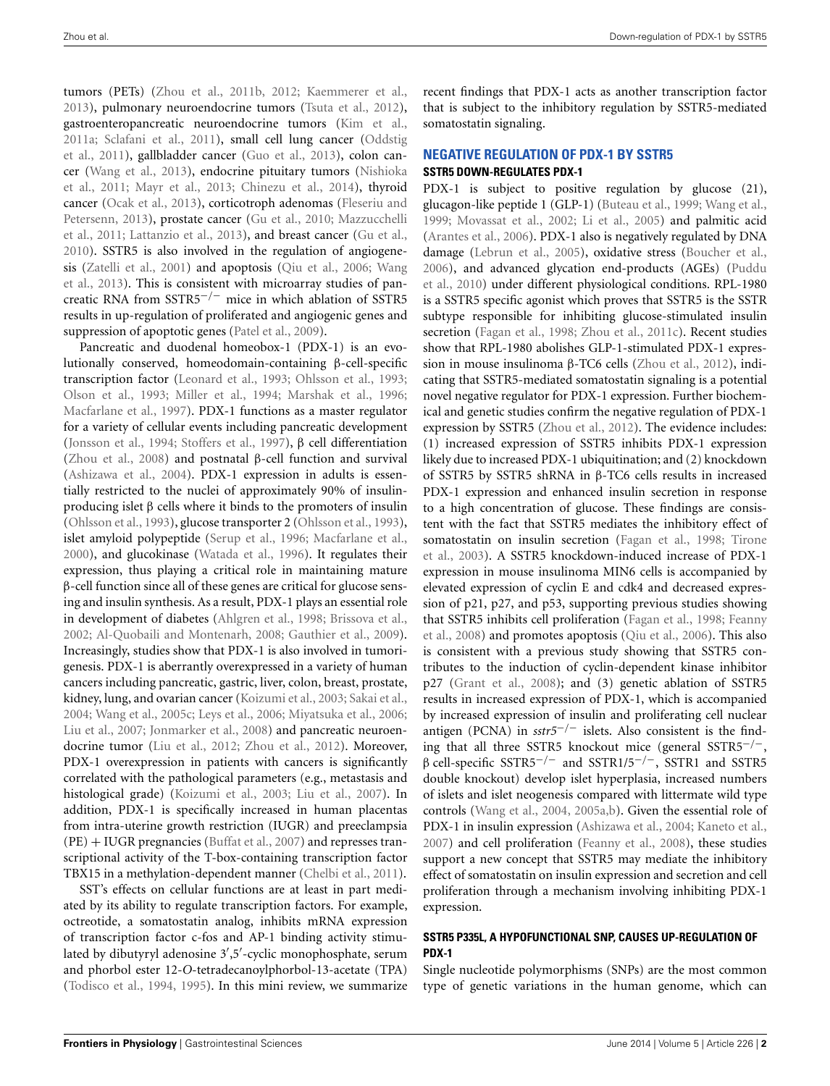tumors (PETs) [\(Zhou et al., 2011b,](#page-6-6) [2012](#page-6-7); [Kaemmerer et al.,](#page-4-6) [2013\)](#page-4-6), pulmonary neuroendocrine tumors [\(Tsuta et al.](#page-6-8), [2012](#page-6-8)), gastroenteropancreatic neuroendocrine tumors [\(Kim et al.,](#page-4-7) [2011a](#page-4-7)[;](#page-5-9) [Sclafani et al., 2011](#page-5-8)[\),](#page-5-9) [small](#page-5-9) [cell](#page-5-9) [lung](#page-5-9) [cancer](#page-5-9) [\(](#page-5-9)Oddstig et al., [2011](#page-5-9)), gallbladder cancer [\(Guo et al., 2013\)](#page-4-8), colon cancer [\(Wang et al., 2013](#page-6-9)[\),](#page-5-10) [endocrine](#page-5-10) [pituitary](#page-5-10) [tumors](#page-5-10) [\(](#page-5-10)Nishioka et al., [2011](#page-5-10); [Mayr et al., 2013](#page-5-11); [Chinezu et al.](#page-4-9), [2014](#page-4-9)), thyroid cancer [\(Ocak et al.](#page-5-12)[,](#page-4-10) [2013](#page-5-12)[\),](#page-4-10) [corticotroph](#page-4-10) [adenomas](#page-4-10) [\(](#page-4-10)Fleseriu and Pete[rsenn,](#page-5-13) [2013](#page-4-10)[\), prostate cancer](#page-5-13) [\(Gu et al., 2010](#page-4-11)[;](#page-5-13) Mazzucchelli et al., [2011;](#page-5-13) [Lattanzio et al.](#page-4-12), [2013\)](#page-4-12), and breast cancer [\(Gu et al.,](#page-4-11) [2010\)](#page-4-11). SSTR5 is also involved in the regulation of angiogenesis [\(Zatelli et al.](#page-6-10)[,](#page-6-9) [2001](#page-6-10)[\) and apoptosis](#page-6-9) [\(Qiu et al.](#page-5-14)[,](#page-6-9) [2006](#page-5-14)[;](#page-6-9) Wang et al., [2013](#page-6-9)). This is consistent with microarray studies of pancreatic RNA from SSTR5−*/*<sup>−</sup> mice in which ablation of SSTR5 results in up-regulation of proliferated and angiogenic genes and suppression of apoptotic genes [\(Patel et al.](#page-5-15), [2009](#page-5-15)).

Pancreatic and duodenal homeobox-1 (PDX-1) is an evolutionally conserved, homeodomain-containing β-cell-specific transcription factor [\(Leonard et al.](#page-4-13), [1993](#page-4-13); [Ohlsson et al.](#page-5-16), [1993;](#page-5-16) [Olson et al., 1993;](#page-5-17) [Miller et al.](#page-5-18), [1994](#page-5-18); [Marshak et al., 1996;](#page-5-19) [Macfarlane et al.](#page-5-20), [1997\)](#page-5-20). PDX-1 functions as a master regulator for a variety of cellular events including pancreatic development [\(Jonsson et al.](#page-4-14), [1994;](#page-4-14) [Stoffers et al., 1997\)](#page-5-21), β cell differentiation [\(Zhou et al.](#page-6-11), [2008\)](#page-6-11) and postnatal β-cell function and survival [\(Ashizawa et al.](#page-4-15), [2004\)](#page-4-15). PDX-1 expression in adults is essentially restricted to the nuclei of approximately 90% of insulinproducing islet β cells where it binds to the promoters of insulin [\(Ohlsson et al., 1993\)](#page-5-16), glucose transporter 2 [\(Ohlsson et al.](#page-5-16), [1993](#page-5-16)), islet amyloid polypeptide [\(Serup et al.](#page-5-22), [1996](#page-5-22); [Macfarlane et al.,](#page-5-23) [2000\)](#page-5-23), and glucokinase [\(Watada et al.](#page-6-12), [1996](#page-6-12)). It regulates their expression, thus playing a critical role in maintaining mature β-cell function since all of these genes are critical for glucose sensing and insulin synthesis. As a result, PDX-1 plays an essential role in development of diabetes [\(Ahlgren et al.](#page-3-0), [1998;](#page-3-0) [Brissova et al.,](#page-4-16) [2002;](#page-4-16) [Al-Quobaili and Montenarh](#page-3-1), [2008;](#page-3-1) [Gauthier et al., 2009](#page-4-17)). Increasingly, studies show that PDX-1 is also involved in tumorigenesis. PDX-1 is aberrantly overexpressed in a variety of human cancers including pancreatic, gastric, liver, colon, breast, prostate, kidney, lung, and ovarian cancer [\(Koizumi et al.](#page-4-18), [2003;](#page-4-18) [Sakai et al.,](#page-5-24) [2004;](#page-5-24) [Wang et al., 2005c;](#page-6-13) [Leys et al., 2006](#page-4-19); [Miyatsuka et al.](#page-5-25), [2006;](#page-5-25) [Liu et al.](#page-5-26), [2007](#page-5-26); [Jonmarker et al., 2008](#page-4-20)) and pancreatic neuroendocrine tumor [\(Liu et al., 2012;](#page-5-27) [Zhou et al., 2012](#page-6-7)). Moreover, PDX-1 overexpression in patients with cancers is significantly correlated with the pathological parameters (e.g., metastasis and histological grade) [\(Koizumi et al., 2003;](#page-4-18) [Liu et al.](#page-5-26), [2007](#page-5-26)). In addition, PDX-1 is specifically increased in human placentas from intra-uterine growth restriction (IUGR) and preeclampsia (PE) + IUGR pregnancies [\(Buffat et al., 2007](#page-4-21)) and represses transcriptional activity of the T-box-containing transcription factor TBX15 in a methylation-dependent manner [\(Chelbi et al.](#page-4-22), [2011\)](#page-4-22).

SST's effects on cellular functions are at least in part mediated by its ability to regulate transcription factors. For example, octreotide, a somatostatin analog, inhibits mRNA expression of transcription factor c-fos and AP-1 binding activity stimulated by dibutyryl adenosine 3′,5′-cyclic monophosphate, serum and phorbol ester 12-*O*-tetradecanoylphorbol-13-acetate (TPA) [\(Todisco et al.](#page-6-14), [1994](#page-6-14), [1995\)](#page-6-15). In this mini review, we summarize recent findings that PDX-1 acts as another transcription factor that is subject to the inhibitory regulation by SSTR5-mediated somatostatin signaling.

## **NEGATIVE REGULATION OF PDX-1 BY SSTR5 SSTR5 DOWN-REGULATES PDX-1**

PDX-1 is subject to positive regulation by glucose (21), glucagon-like peptide 1 (GLP-1) [\(Buteau et al., 1999](#page-4-23); [Wang et al.,](#page-6-16) [1999;](#page-6-16) [Movassat et al.](#page-5-28), [2002;](#page-5-28) [Li et al., 2005](#page-5-29)) and palmitic acid [\(Arantes et al., 2006](#page-3-2)). PDX-1 also is negatively regulated by DNA damage [\(Lebrun et al., 2005](#page-4-24)), oxidative stress [\(Boucher et al.,](#page-4-25) [2006](#page-4-25)[\), and advanced glycation end-products \(AGEs\) \(](#page-5-30)Puddu et al., [2010\)](#page-5-30) under different physiological conditions. RPL-1980 is a SSTR5 specific agonist which proves that SSTR5 is the SSTR subtype responsible for inhibiting glucose-stimulated insulin secretion [\(Fagan et al.](#page-4-4), [1998;](#page-4-4) [Zhou et al.](#page-6-17), [2011c\)](#page-6-17). Recent studies show that RPL-1980 abolishes GLP-1-stimulated PDX-1 expression in mouse insulinoma β-TC6 cells [\(Zhou et al.](#page-6-7), [2012\)](#page-6-7), indicating that SSTR5-mediated somatostatin signaling is a potential novel negative regulator for PDX-1 expression. Further biochemical and genetic studies confirm the negative regulation of PDX-1 expression by SSTR5 [\(Zhou et al.](#page-6-7), [2012\)](#page-6-7). The evidence includes: (1) increased expression of SSTR5 inhibits PDX-1 expression likely due to increased PDX-1 ubiquitination; and (2) knockdown of SSTR5 by SSTR5 shRNA in β-TC6 cells results in increased PDX-1 expression and enhanced insulin secretion in response to a high concentration of glucose. These findings are consistent with the fact that SSTR5 mediates the inhibitory effect of som[atostatin on insulin secretion](#page-6-18) [\(Fagan et al., 1998](#page-4-4)[;](#page-6-18) Tirone et al., [2003](#page-6-18)). A SSTR5 knockdown-induced increase of PDX-1 expression in mouse insulinoma MIN6 cells is accompanied by elevated expression of cyclin E and cdk4 and decreased expression of p21, p27, and p53, supporting previous studies showing that [SSTR5 inhibits cell proliferation](#page-4-26) [\(Fagan et al., 1998](#page-4-4)[;](#page-4-26) Feanny et al., [2008](#page-4-26)) and promotes apoptosis [\(Qiu et al., 2006\)](#page-5-14). This also is consistent with a previous study showing that SSTR5 contributes to the induction of cyclin-dependent kinase inhibitor p27 [\(Grant et al., 2008\)](#page-4-27); and (3) genetic ablation of SSTR5 results in increased expression of PDX-1, which is accompanied by increased expression of insulin and proliferating cell nuclear antigen (PCNA) in *sstr5*−*/*<sup>−</sup> islets. Also consistent is the finding that all three SSTR5 knockout mice (general SSTR5−*/*−, β cell-specific SSTR5−*/*<sup>−</sup> and SSTR1/5−*/*−, SSTR1 and SSTR5 double knockout) develop islet hyperplasia, increased numbers of islets and islet neogenesis compared with littermate wild type controls [\(Wang et al., 2004](#page-6-3), [2005a](#page-6-0)[,b\)](#page-6-4). Given the essential role of PDX-1 in insulin expression [\(Ashizawa et al., 2004;](#page-4-15) [Kaneto et al.,](#page-4-28) [2007\)](#page-4-28) and cell proliferation [\(Feanny et al., 2008\)](#page-4-26), these studies support a new concept that SSTR5 may mediate the inhibitory effect of somatostatin on insulin expression and secretion and cell proliferation through a mechanism involving inhibiting PDX-1 expression.

## **SSTR5 P335L, A HYPOFUNCTIONAL SNP, CAUSES UP-REGULATION OF PDX-1**

Single nucleotide polymorphisms (SNPs) are the most common type of genetic variations in the human genome, which can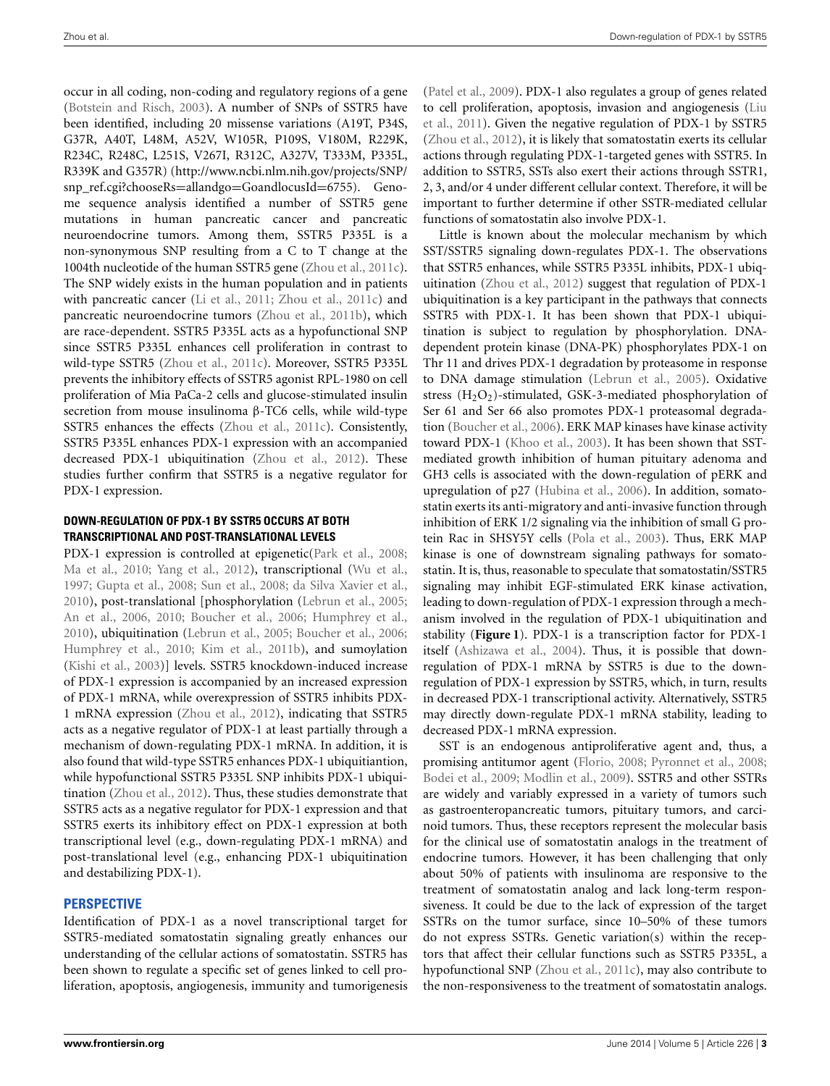occur in all coding, non-coding and regulatory regions of a gene [\(Botstein and Risch, 2003\)](#page-4-29). A number of SNPs of SSTR5 have been identified, including 20 missense variations (A19T, P34S, G37R, A40T, L48M, A52V, W105R, P109S, V180M, R229K, R234C, R248C, L251S, V267I, R312C, A327V, T333M, P335L, R339K and G357R) [\(http://www.ncbi.nlm.nih.gov/projects/SNP/](http://www.ncbi.nlm.nih.gov/projects/SNP/snp_ref.cgi?chooseRs=allandgo=GoandlocusId=6755) [snp\\_ref.cgi?chooseRs](http://www.ncbi.nlm.nih.gov/projects/SNP/snp_ref.cgi?chooseRs=allandgo=GoandlocusId=6755)=allandgo=GoandlocusId=6755). Genome sequence analysis identified a number of SSTR5 gene mutations in human pancreatic cancer and pancreatic neuroendocrine tumors. Among them, SSTR5 P335L is a non-synonymous SNP resulting from a C to T change at the 1004th nucleotide of the human SSTR5 gene [\(Zhou et al., 2011c](#page-6-17)). The SNP widely exists in the human population and in patients with pancreatic cancer [\(Li et al.](#page-4-5), [2011](#page-4-5); [Zhou et al.](#page-6-17), [2011c](#page-6-17)) and pancreatic neuroendocrine tumors [\(Zhou et al.](#page-6-6), [2011b\)](#page-6-6), which are race-dependent. SSTR5 P335L acts as a hypofunctional SNP since SSTR5 P335L enhances cell proliferation in contrast to wild-type SSTR5 [\(Zhou et al., 2011c\)](#page-6-17). Moreover, SSTR5 P335L prevents the inhibitory effects of SSTR5 agonist RPL-1980 on cell proliferation of Mia PaCa-2 cells and glucose-stimulated insulin secretion from mouse insulinoma β-TC6 cells, while wild-type SSTR5 enhances the effects [\(Zhou et al.](#page-6-17), [2011c\)](#page-6-17). Consistently, SSTR5 P335L enhances PDX-1 expression with an accompanied decreased PDX-1 ubiquitination [\(Zhou et al., 2012\)](#page-6-7). These studies further confirm that SSTR5 is a negative regulator for PDX-1 expression.

### **DOWN-REGULATION OF PDX-1 BY SSTR5 OCCURS AT BOTH TRANSCRIPTIONAL AND POST-TRANSLATIONAL LEVELS**

PDX-1 expression is controlled at epigenetic[\(Park et al., 2008](#page-5-31); [Ma et al., 2010](#page-5-32); [Yang et al., 2012](#page-6-19)), transcriptional [\(Wu et al.,](#page-6-20) [1997;](#page-6-20) [Gupta et al.](#page-4-30), [2008;](#page-4-30) [Sun et al.](#page-6-21), [2008;](#page-6-21) [da Silva Xavier et al.,](#page-4-31) [2010\)](#page-4-31), post-translational [phosphorylation [\(Lebrun et al.](#page-4-24), [2005](#page-4-24); [An et al.](#page-3-3), [2006,](#page-3-3) [2010](#page-3-4); [Boucher et al.](#page-4-25), [2006;](#page-4-25) [Humphrey et al.,](#page-4-32) [2010\)](#page-4-32), ubiquitination [\(Lebrun et al., 2005;](#page-4-24) [Boucher et al.](#page-4-25), [2006;](#page-4-25) [Humphrey et al.](#page-4-32), [2010](#page-4-32); [Kim et al., 2011b\)](#page-4-33), and sumoylation [\(Kishi et al.](#page-4-34), [2003\)](#page-4-34)] levels. SSTR5 knockdown-induced increase of PDX-1 expression is accompanied by an increased expression of PDX-1 mRNA, while overexpression of SSTR5 inhibits PDX-1 mRNA expression [\(Zhou et al., 2012\)](#page-6-7), indicating that SSTR5 acts as a negative regulator of PDX-1 at least partially through a mechanism of down-regulating PDX-1 mRNA. In addition, it is also found that wild-type SSTR5 enhances PDX-1 ubiquitiantion, while hypofunctional SSTR5 P335L SNP inhibits PDX-1 ubiquitination [\(Zhou et al., 2012](#page-6-7)). Thus, these studies demonstrate that SSTR5 acts as a negative regulator for PDX-1 expression and that SSTR5 exerts its inhibitory effect on PDX-1 expression at both transcriptional level (e.g., down-regulating PDX-1 mRNA) and post-translational level (e.g., enhancing PDX-1 ubiquitination and destabilizing PDX-1).

## **PERSPECTIVE**

Identification of PDX-1 as a novel transcriptional target for SSTR5-mediated somatostatin signaling greatly enhances our understanding of the cellular actions of somatostatin. SSTR5 has been shown to regulate a specific set of genes linked to cell proliferation, apoptosis, angiogenesis, immunity and tumorigenesis

[\(Patel et al.](#page-5-15), [2009](#page-5-15)). PDX-1 also regulates a group of genes related to c[ell proliferation, apoptosis, invasion and angiogenesis \(](#page-5-33)Liu et al., [2011](#page-5-33)). Given the negative regulation of PDX-1 by SSTR5 [\(Zhou et al.](#page-6-7), [2012](#page-6-7)), it is likely that somatostatin exerts its cellular actions through regulating PDX-1-targeted genes with SSTR5. In addition to SSTR5, SSTs also exert their actions through SSTR1, 2, 3, and/or 4 under different cellular context. Therefore, it will be important to further determine if other SSTR-mediated cellular functions of somatostatin also involve PDX-1.

Little is known about the molecular mechanism by which SST/SSTR5 signaling down-regulates PDX-1. The observations that SSTR5 enhances, while SSTR5 P335L inhibits, PDX-1 ubiquitination [\(Zhou et al.](#page-6-7), [2012](#page-6-7)) suggest that regulation of PDX-1 ubiquitination is a key participant in the pathways that connects SSTR5 with PDX-1. It has been shown that PDX-1 ubiquitination is subject to regulation by phosphorylation. DNAdependent protein kinase (DNA-PK) phosphorylates PDX-1 on Thr 11 and drives PDX-1 degradation by proteasome in response to DNA damage stimulation [\(Lebrun et al.](#page-4-24), [2005](#page-4-24)). Oxidative stress  $(H_2O_2)$ -stimulated, GSK-3-mediated phosphorylation of Ser 61 and Ser 66 also promotes PDX-1 proteasomal degradation [\(Boucher et al.](#page-4-25), [2006\)](#page-4-25). ERK MAP kinases have kinase activity toward PDX-1 [\(Khoo et al., 2003](#page-4-35)). It has been shown that SSTmediated growth inhibition of human pituitary adenoma and GH3 cells is associated with the down-regulation of pERK and upregulation of p27 [\(Hubina et al., 2006](#page-4-36)). In addition, somatostatin exerts its anti-migratory and anti-invasive function through inhibition of ERK 1/2 signaling via the inhibition of small G protein Rac in SHSY5Y cells [\(Pola et al.](#page-5-34), [2003](#page-5-34)). Thus, ERK MAP kinase is one of downstream signaling pathways for somatostatin. It is, thus, reasonable to speculate that somatostatin/SSTR5 signaling may inhibit EGF-stimulated ERK kinase activation, leading to down-regulation of PDX-1 expression through a mechanism involved in the regulation of PDX-1 ubiquitination and stability (**[Figure 1](#page-3-5)**). PDX-1 is a transcription factor for PDX-1 itself [\(Ashizawa et al., 2004\)](#page-4-15). Thus, it is possible that downregulation of PDX-1 mRNA by SSTR5 is due to the downregulation of PDX-1 expression by SSTR5, which, in turn, results in decreased PDX-1 transcriptional activity. Alternatively, SSTR5 may directly down-regulate PDX-1 mRNA stability, leading to decreased PDX-1 mRNA expression.

SST is an endogenous antiproliferative agent and, thus, a promising antitumor agent [\(Florio](#page-4-2), [2008;](#page-4-2) [Pyronnet et al.](#page-5-35), [2008;](#page-5-35) [Bodei et al.](#page-4-37), [2009;](#page-4-37) [Modlin et al., 2009\)](#page-5-36). SSTR5 and other SSTRs are widely and variably expressed in a variety of tumors such as gastroenteropancreatic tumors, pituitary tumors, and carcinoid tumors. Thus, these receptors represent the molecular basis for the clinical use of somatostatin analogs in the treatment of endocrine tumors. However, it has been challenging that only about 50% of patients with insulinoma are responsive to the treatment of somatostatin analog and lack long-term responsiveness. It could be due to the lack of expression of the target SSTRs on the tumor surface, since 10–50% of these tumors do not express SSTRs. Genetic variation(s) within the receptors that affect their cellular functions such as SSTR5 P335L, a hypofunctional SNP [\(Zhou et al.](#page-6-17), [2011c\)](#page-6-17), may also contribute to the non-responsiveness to the treatment of somatostatin analogs.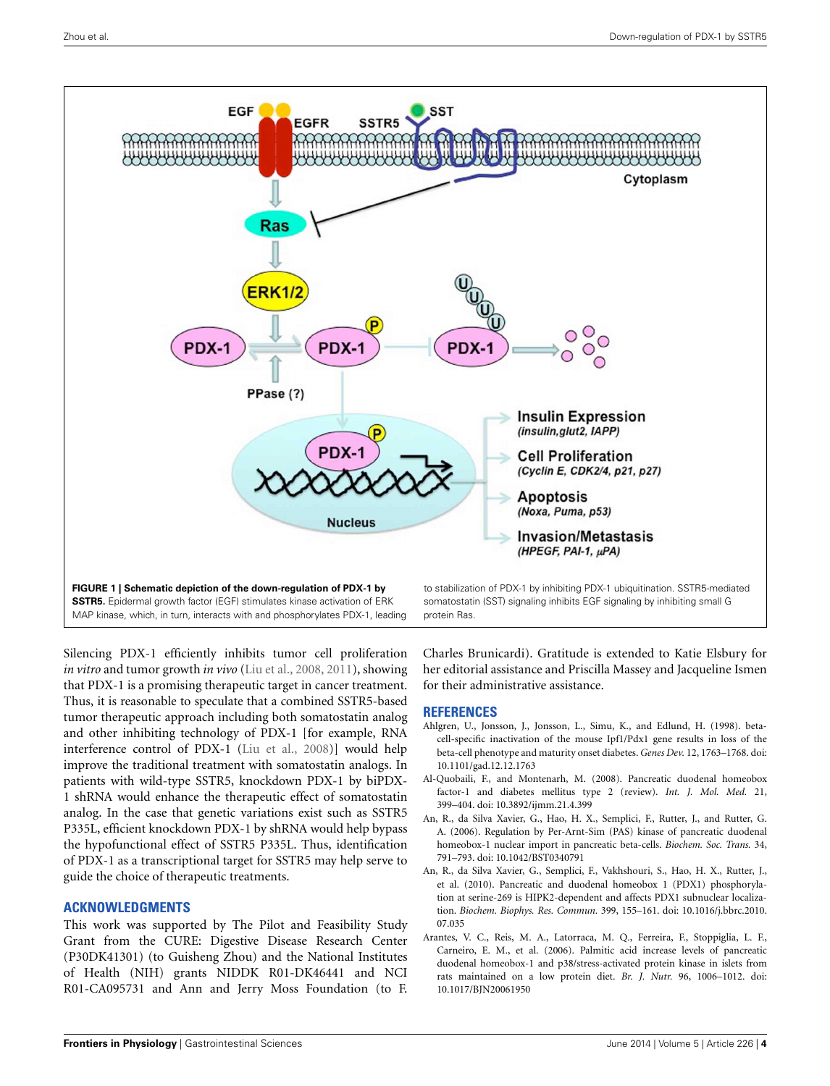

<span id="page-3-5"></span>Silencing PDX-1 efficiently inhibits tumor cell proliferation *in vitro* and tumor growth *in vivo* [\(Liu et al., 2008](#page-5-37), [2011\)](#page-5-33), showing that PDX-1 is a promising therapeutic target in cancer treatment. Thus, it is reasonable to speculate that a combined SSTR5-based tumor therapeutic approach including both somatostatin analog and other inhibiting technology of PDX-1 [for example, RNA interference control of PDX-1 [\(Liu et al.](#page-5-37), [2008](#page-5-37))] would help improve the traditional treatment with somatostatin analogs. In patients with wild-type SSTR5, knockdown PDX-1 by biPDX-1 shRNA would enhance the therapeutic effect of somatostatin analog. In the case that genetic variations exist such as SSTR5 P335L, efficient knockdown PDX-1 by shRNA would help bypass the hypofunctional effect of SSTR5 P335L. Thus, identification of PDX-1 as a transcriptional target for SSTR5 may help serve to guide the choice of therapeutic treatments.

## **ACKNOWLEDGMENTS**

This work was supported by The Pilot and Feasibility Study Grant from the CURE: Digestive Disease Research Center (P30DK41301) (to Guisheng Zhou) and the National Institutes of Health (NIH) grants NIDDK R01-DK46441 and NCI R01-CA095731 and Ann and Jerry Moss Foundation (to F.

Charles Brunicardi). Gratitude is extended to Katie Elsbury for her editorial assistance and Priscilla Massey and Jacqueline Ismen

#### **REFERENCES**

for their administrative assistance.

- <span id="page-3-0"></span>Ahlgren, U., Jonsson, J., Jonsson, L., Simu, K., and Edlund, H. (1998). betacell-specific inactivation of the mouse Ipf1/Pdx1 gene results in loss of the beta-cell phenotype and maturity onset diabetes. *Genes Dev.* 12, 1763–1768. doi: 10.1101/gad.12.12.1763
- <span id="page-3-1"></span>Al-Quobaili, F., and Montenarh, M. (2008). Pancreatic duodenal homeobox factor-1 and diabetes mellitus type 2 (review). *Int. J. Mol. Med.* 21, 399–404. doi: 10.3892/ijmm.21.4.399
- <span id="page-3-3"></span>An, R., da Silva Xavier, G., Hao, H. X., Semplici, F., Rutter, J., and Rutter, G. A. (2006). Regulation by Per-Arnt-Sim (PAS) kinase of pancreatic duodenal homeobox-1 nuclear import in pancreatic beta-cells. *Biochem. Soc. Trans.* 34, 791–793. doi: 10.1042/BST0340791
- <span id="page-3-4"></span>An, R., da Silva Xavier, G., Semplici, F., Vakhshouri, S., Hao, H. X., Rutter, J., et al. (2010). Pancreatic and duodenal homeobox 1 (PDX1) phosphorylation at serine-269 is HIPK2-dependent and affects PDX1 subnuclear localization. *Biochem. Biophys. Res. Commun.* 399, 155–161. doi: 10.1016/j.bbrc.2010. 07.035
- <span id="page-3-2"></span>Arantes, V. C., Reis, M. A., Latorraca, M. Q., Ferreira, F., Stoppiglia, L. F., Carneiro, E. M., et al. (2006). Palmitic acid increase levels of pancreatic duodenal homeobox-1 and p38/stress-activated protein kinase in islets from rats maintained on a low protein diet. *Br. J. Nutr.* 96, 1006–1012. doi: 10.1017/BJN20061950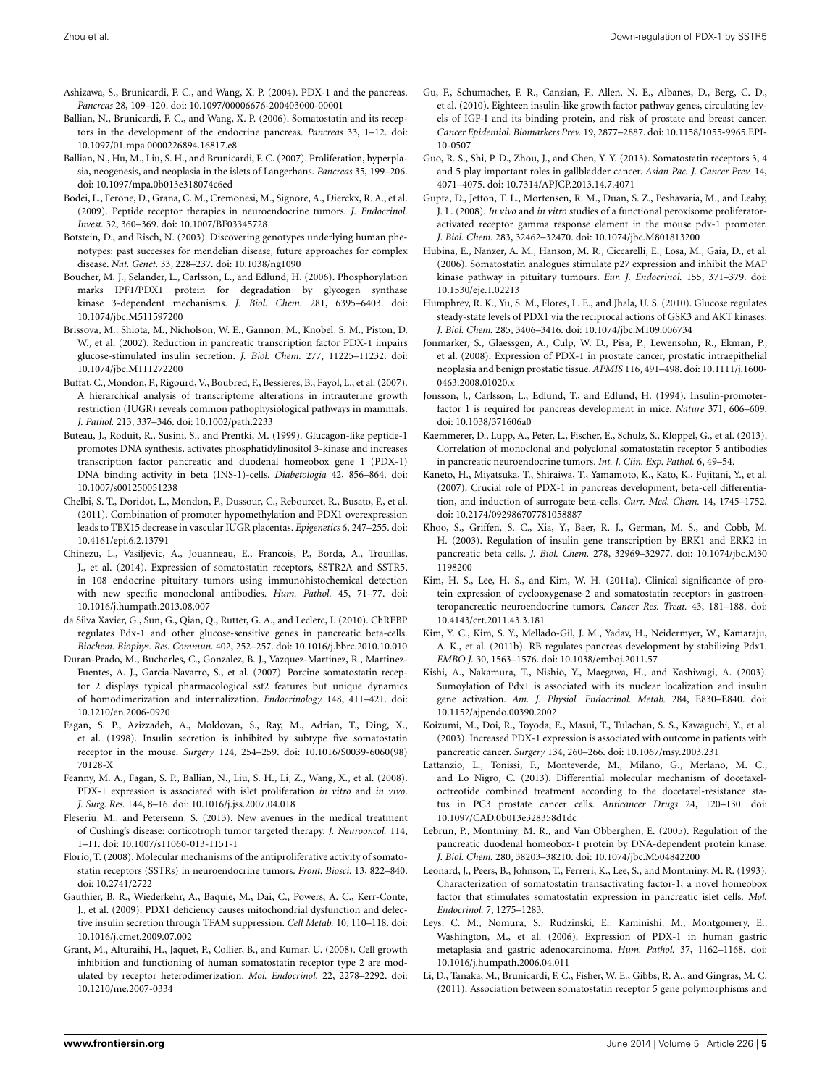- <span id="page-4-15"></span>Ashizawa, S., Brunicardi, F. C., and Wang, X. P. (2004). PDX-1 and the pancreas. *Pancreas* 28, 109–120. doi: 10.1097/00006676-200403000-00001
- <span id="page-4-0"></span>Ballian, N., Brunicardi, F. C., and Wang, X. P. (2006). Somatostatin and its receptors in the development of the endocrine pancreas. *Pancreas* 33, 1–12. doi: 10.1097/01.mpa.0000226894.16817.e8
- <span id="page-4-1"></span>Ballian, N., Hu, M., Liu, S. H., and Brunicardi, F. C. (2007). Proliferation, hyperplasia, neogenesis, and neoplasia in the islets of Langerhans. *Pancreas* 35, 199–206. doi: 10.1097/mpa.0b013e318074c6ed
- <span id="page-4-37"></span>Bodei, L., Ferone, D., Grana, C. M., Cremonesi, M., Signore, A., Dierckx, R. A., et al. (2009). Peptide receptor therapies in neuroendocrine tumors. *J. Endocrinol. Invest.* 32, 360–369. doi: 10.1007/BF03345728
- <span id="page-4-29"></span>Botstein, D., and Risch, N. (2003). Discovering genotypes underlying human phenotypes: past successes for mendelian disease, future approaches for complex disease. *Nat. Genet.* 33, 228–237. doi: 10.1038/ng1090
- <span id="page-4-25"></span>Boucher, M. J., Selander, L., Carlsson, L., and Edlund, H. (2006). Phosphorylation marks IPF1/PDX1 protein for degradation by glycogen synthase kinase 3-dependent mechanisms. *J. Biol. Chem.* 281, 6395–6403. doi: 10.1074/jbc.M511597200
- <span id="page-4-16"></span>Brissova, M., Shiota, M., Nicholson, W. E., Gannon, M., Knobel, S. M., Piston, D. W., et al. (2002). Reduction in pancreatic transcription factor PDX-1 impairs glucose-stimulated insulin secretion. *J. Biol. Chem.* 277, 11225–11232. doi: 10.1074/jbc.M111272200
- <span id="page-4-21"></span>Buffat, C., Mondon, F., Rigourd, V., Boubred, F., Bessieres, B., Fayol, L., et al. (2007). A hierarchical analysis of transcriptome alterations in intrauterine growth restriction (IUGR) reveals common pathophysiological pathways in mammals. *J. Pathol.* 213, 337–346. doi: 10.1002/path.2233
- <span id="page-4-23"></span>Buteau, J., Roduit, R., Susini, S., and Prentki, M. (1999). Glucagon-like peptide-1 promotes DNA synthesis, activates phosphatidylinositol 3-kinase and increases transcription factor pancreatic and duodenal homeobox gene 1 (PDX-1) DNA binding activity in beta (INS-1)-cells. *Diabetologia* 42, 856–864. doi: 10.1007/s001250051238
- <span id="page-4-22"></span>Chelbi, S. T., Doridot, L., Mondon, F., Dussour, C., Rebourcet, R., Busato, F., et al. (2011). Combination of promoter hypomethylation and PDX1 overexpression leads to TBX15 decrease in vascular IUGR placentas. *Epigenetics* 6, 247–255. doi: 10.4161/epi.6.2.13791
- <span id="page-4-9"></span>Chinezu, L., Vasiljevic, A., Jouanneau, E., Francois, P., Borda, A., Trouillas, J., et al. (2014). Expression of somatostatin receptors, SSTR2A and SSTR5, in 108 endocrine pituitary tumors using immunohistochemical detection with new specific monoclonal antibodies. *Hum. Pathol.* 45, 71–77. doi: 10.1016/j.humpath.2013.08.007
- <span id="page-4-31"></span>da Silva Xavier, G., Sun, G., Qian, Q., Rutter, G. A., and Leclerc, I. (2010). ChREBP regulates Pdx-1 and other glucose-sensitive genes in pancreatic beta-cells. *Biochem. Biophys. Res. Commun.* 402, 252–257. doi: 10.1016/j.bbrc.2010.10.010
- <span id="page-4-3"></span>Duran-Prado, M., Bucharles, C., Gonzalez, B. J., Vazquez-Martinez, R., Martinez-Fuentes, A. J., Garcia-Navarro, S., et al. (2007). Porcine somatostatin receptor 2 displays typical pharmacological sst2 features but unique dynamics of homodimerization and internalization. *Endocrinology* 148, 411–421. doi: 10.1210/en.2006-0920
- <span id="page-4-4"></span>Fagan, S. P., Azizzadeh, A., Moldovan, S., Ray, M., Adrian, T., Ding, X., et al. (1998). Insulin secretion is inhibited by subtype five somatostatin receptor in the mouse. *Surgery* 124, 254–259. doi: 10.1016/S0039-6060(98) 70128-X
- <span id="page-4-26"></span>Feanny, M. A., Fagan, S. P., Ballian, N., Liu, S. H., Li, Z., Wang, X., et al. (2008). PDX-1 expression is associated with islet proliferation *in vitro* and *in vivo*. *J. Surg. Res.* 144, 8–16. doi: 10.1016/j.jss.2007.04.018
- <span id="page-4-10"></span>Fleseriu, M., and Petersenn, S. (2013). New avenues in the medical treatment of Cushing's disease: corticotroph tumor targeted therapy. *J. Neurooncol.* 114, 1–11. doi: 10.1007/s11060-013-1151-1
- <span id="page-4-2"></span>Florio, T. (2008). Molecular mechanisms of the antiproliferative activity of somatostatin receptors (SSTRs) in neuroendocrine tumors. *Front. Biosci.* 13, 822–840. doi: 10.2741/2722
- <span id="page-4-17"></span>Gauthier, B. R., Wiederkehr, A., Baquie, M., Dai, C., Powers, A. C., Kerr-Conte, J., et al. (2009). PDX1 deficiency causes mitochondrial dysfunction and defective insulin secretion through TFAM suppression. *Cell Metab.* 10, 110–118. doi: 10.1016/j.cmet.2009.07.002
- <span id="page-4-27"></span>Grant, M., Alturaihi, H., Jaquet, P., Collier, B., and Kumar, U. (2008). Cell growth inhibition and functioning of human somatostatin receptor type 2 are modulated by receptor heterodimerization. *Mol. Endocrinol.* 22, 2278–2292. doi: 10.1210/me.2007-0334
- <span id="page-4-11"></span>Gu, F., Schumacher, F. R., Canzian, F., Allen, N. E., Albanes, D., Berg, C. D., et al. (2010). Eighteen insulin-like growth factor pathway genes, circulating levels of IGF-I and its binding protein, and risk of prostate and breast cancer. *Cancer Epidemiol. Biomarkers Prev.* 19, 2877–2887. doi: 10.1158/1055-9965.EPI-10-0507
- <span id="page-4-8"></span>Guo, R. S., Shi, P. D., Zhou, J., and Chen, Y. Y. (2013). Somatostatin receptors 3, 4 and 5 play important roles in gallbladder cancer. *Asian Pac. J. Cancer Prev.* 14, 4071–4075. doi: 10.7314/APJCP.2013.14.7.4071
- <span id="page-4-30"></span>Gupta, D., Jetton, T. L., Mortensen, R. M., Duan, S. Z., Peshavaria, M., and Leahy, J. L. (2008). *In vivo* and *in vitro* studies of a functional peroxisome proliferatoractivated receptor gamma response element in the mouse pdx-1 promoter. *J. Biol. Chem.* 283, 32462–32470. doi: 10.1074/jbc.M801813200
- <span id="page-4-36"></span>Hubina, E., Nanzer, A. M., Hanson, M. R., Ciccarelli, E., Losa, M., Gaia, D., et al. (2006). Somatostatin analogues stimulate p27 expression and inhibit the MAP kinase pathway in pituitary tumours. *Eur. J. Endocrinol.* 155, 371–379. doi: 10.1530/eje.1.02213
- <span id="page-4-32"></span>Humphrey, R. K., Yu, S. M., Flores, L. E., and Jhala, U. S. (2010). Glucose regulates steady-state levels of PDX1 via the reciprocal actions of GSK3 and AKT kinases. *J. Biol. Chem.* 285, 3406–3416. doi: 10.1074/jbc.M109.006734
- <span id="page-4-20"></span>Jonmarker, S., Glaessgen, A., Culp, W. D., Pisa, P., Lewensohn, R., Ekman, P., et al. (2008). Expression of PDX-1 in prostate cancer, prostatic intraepithelial neoplasia and benign prostatic tissue. *APMIS* 116, 491–498. doi: 10.1111/j.1600- 0463.2008.01020.x
- <span id="page-4-14"></span>Jonsson, J., Carlsson, L., Edlund, T., and Edlund, H. (1994). Insulin-promoterfactor 1 is required for pancreas development in mice. *Nature* 371, 606–609. doi: 10.1038/371606a0
- <span id="page-4-6"></span>Kaemmerer, D., Lupp, A., Peter, L., Fischer, E., Schulz, S., Kloppel, G., et al. (2013). Correlation of monoclonal and polyclonal somatostatin receptor 5 antibodies in pancreatic neuroendocrine tumors. *Int. J. Clin. Exp. Pathol.* 6, 49–54.
- <span id="page-4-28"></span>Kaneto, H., Miyatsuka, T., Shiraiwa, T., Yamamoto, K., Kato, K., Fujitani, Y., et al. (2007). Crucial role of PDX-1 in pancreas development, beta-cell differentiation, and induction of surrogate beta-cells. *Curr. Med. Chem.* 14, 1745–1752. doi: 10.2174/092986707781058887
- <span id="page-4-35"></span>Khoo, S., Griffen, S. C., Xia, Y., Baer, R. J., German, M. S., and Cobb, M. H. (2003). Regulation of insulin gene transcription by ERK1 and ERK2 in pancreatic beta cells. *J. Biol. Chem.* 278, 32969–32977. doi: 10.1074/jbc.M30 1198200
- <span id="page-4-7"></span>Kim, H. S., Lee, H. S., and Kim, W. H. (2011a). Clinical significance of protein expression of cyclooxygenase-2 and somatostatin receptors in gastroenteropancreatic neuroendocrine tumors. *Cancer Res. Treat.* 43, 181–188. doi: 10.4143/crt.2011.43.3.181
- <span id="page-4-33"></span>Kim, Y. C., Kim, S. Y., Mellado-Gil, J. M., Yadav, H., Neidermyer, W., Kamaraju, A. K., et al. (2011b). RB regulates pancreas development by stabilizing Pdx1. *EMBO J.* 30, 1563–1576. doi: 10.1038/emboj.2011.57
- <span id="page-4-34"></span>Kishi, A., Nakamura, T., Nishio, Y., Maegawa, H., and Kashiwagi, A. (2003). Sumoylation of Pdx1 is associated with its nuclear localization and insulin gene activation. *Am. J. Physiol. Endocrinol. Metab.* 284, E830–E840. doi: 10.1152/ajpendo.00390.2002
- <span id="page-4-18"></span>Koizumi, M., Doi, R., Toyoda, E., Masui, T., Tulachan, S. S., Kawaguchi, Y., et al. (2003). Increased PDX-1 expression is associated with outcome in patients with pancreatic cancer. *Surgery* 134, 260–266. doi: 10.1067/msy.2003.231
- <span id="page-4-12"></span>Lattanzio, L., Tonissi, F., Monteverde, M., Milano, G., Merlano, M. C., and Lo Nigro, C. (2013). Differential molecular mechanism of docetaxeloctreotide combined treatment according to the docetaxel-resistance status in PC3 prostate cancer cells. *Anticancer Drugs* 24, 120–130. doi: 10.1097/CAD.0b013e328358d1dc
- <span id="page-4-24"></span>Lebrun, P., Montminy, M. R., and Van Obberghen, E. (2005). Regulation of the pancreatic duodenal homeobox-1 protein by DNA-dependent protein kinase. *J. Biol. Chem.* 280, 38203–38210. doi: 10.1074/jbc.M504842200
- <span id="page-4-13"></span>Leonard, J., Peers, B., Johnson, T., Ferreri, K., Lee, S., and Montminy, M. R. (1993). Characterization of somatostatin transactivating factor-1, a novel homeobox factor that stimulates somatostatin expression in pancreatic islet cells. *Mol. Endocrinol.* 7, 1275–1283.
- <span id="page-4-19"></span>Leys, C. M., Nomura, S., Rudzinski, E., Kaminishi, M., Montgomery, E., Washington, M., et al. (2006). Expression of PDX-1 in human gastric metaplasia and gastric adenocarcinoma. *Hum. Pathol.* 37, 1162–1168. doi: 10.1016/j.humpath.2006.04.011
- <span id="page-4-5"></span>Li, D., Tanaka, M., Brunicardi, F. C., Fisher, W. E., Gibbs, R. A., and Gingras, M. C. (2011). Association between somatostatin receptor 5 gene polymorphisms and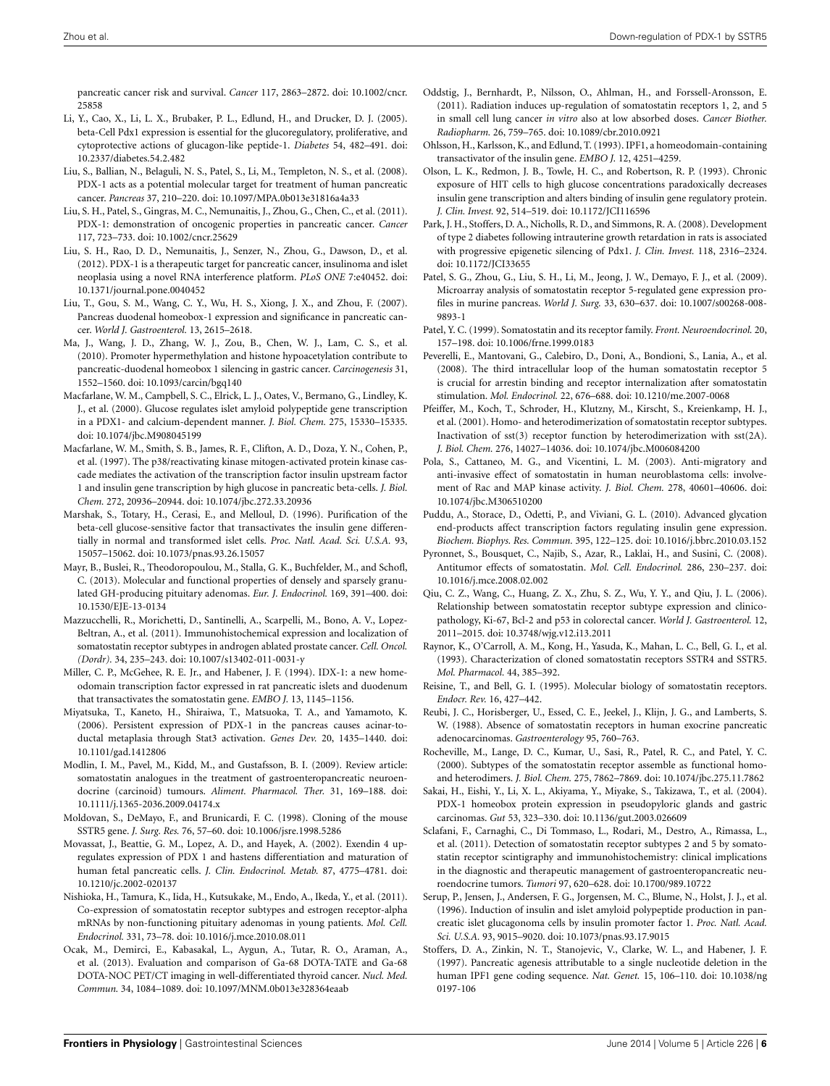pancreatic cancer risk and survival. *Cancer* 117, 2863–2872. doi: 10.1002/cncr. 25858

- <span id="page-5-29"></span>Li, Y., Cao, X., Li, L. X., Brubaker, P. L., Edlund, H., and Drucker, D. J. (2005). beta-Cell Pdx1 expression is essential for the glucoregulatory, proliferative, and cytoprotective actions of glucagon-like peptide-1. *Diabetes* 54, 482–491. doi: 10.2337/diabetes.54.2.482
- <span id="page-5-37"></span>Liu, S., Ballian, N., Belaguli, N. S., Patel, S., Li, M., Templeton, N. S., et al. (2008). PDX-1 acts as a potential molecular target for treatment of human pancreatic cancer. *Pancreas* 37, 210–220. doi: 10.1097/MPA.0b013e31816a4a33
- <span id="page-5-33"></span>Liu, S. H., Patel, S., Gingras, M. C., Nemunaitis, J., Zhou, G., Chen, C., et al. (2011). PDX-1: demonstration of oncogenic properties in pancreatic cancer. *Cancer* 117, 723–733. doi: 10.1002/cncr.25629
- <span id="page-5-27"></span>Liu, S. H., Rao, D. D., Nemunaitis, J., Senzer, N., Zhou, G., Dawson, D., et al. (2012). PDX-1 is a therapeutic target for pancreatic cancer, insulinoma and islet neoplasia using a novel RNA interference platform. *PLoS ONE* 7:e40452. doi: 10.1371/journal.pone.0040452
- <span id="page-5-26"></span>Liu, T., Gou, S. M., Wang, C. Y., Wu, H. S., Xiong, J. X., and Zhou, F. (2007). Pancreas duodenal homeobox-1 expression and significance in pancreatic cancer. *World J. Gastroenterol.* 13, 2615–2618.
- <span id="page-5-32"></span>Ma, J., Wang, J. D., Zhang, W. J., Zou, B., Chen, W. J., Lam, C. S., et al. (2010). Promoter hypermethylation and histone hypoacetylation contribute to pancreatic-duodenal homeobox 1 silencing in gastric cancer. *Carcinogenesis* 31, 1552–1560. doi: 10.1093/carcin/bgq140
- <span id="page-5-23"></span>Macfarlane, W. M., Campbell, S. C., Elrick, L. J., Oates, V., Bermano, G., Lindley, K. J., et al. (2000). Glucose regulates islet amyloid polypeptide gene transcription in a PDX1- and calcium-dependent manner. *J. Biol. Chem.* 275, 15330–15335. doi: 10.1074/jbc.M908045199
- <span id="page-5-20"></span>Macfarlane, W. M., Smith, S. B., James, R. F., Clifton, A. D., Doza, Y. N., Cohen, P., et al. (1997). The p38/reactivating kinase mitogen-activated protein kinase cascade mediates the activation of the transcription factor insulin upstream factor 1 and insulin gene transcription by high glucose in pancreatic beta-cells. *J. Biol. Chem.* 272, 20936–20944. doi: 10.1074/jbc.272.33.20936
- <span id="page-5-19"></span>Marshak, S., Totary, H., Cerasi, E., and Melloul, D. (1996). Purification of the beta-cell glucose-sensitive factor that transactivates the insulin gene differentially in normal and transformed islet cells. *Proc. Natl. Acad. Sci. U.S.A.* 93, 15057–15062. doi: 10.1073/pnas.93.26.15057
- <span id="page-5-11"></span>Mayr, B., Buslei, R., Theodoropoulou, M., Stalla, G. K., Buchfelder, M., and Schofl, C. (2013). Molecular and functional properties of densely and sparsely granulated GH-producing pituitary adenomas. *Eur. J. Endocrinol.* 169, 391–400. doi: 10.1530/EJE-13-0134
- <span id="page-5-13"></span>Mazzucchelli, R., Morichetti, D., Santinelli, A., Scarpelli, M., Bono, A. V., Lopez-Beltran, A., et al. (2011). Immunohistochemical expression and localization of somatostatin receptor subtypes in androgen ablated prostate cancer. *Cell. Oncol. (Dordr).* 34, 235–243. doi: 10.1007/s13402-011-0031-y
- <span id="page-5-18"></span>Miller, C. P., McGehee, R. E. Jr., and Habener, J. F. (1994). IDX-1: a new homeodomain transcription factor expressed in rat pancreatic islets and duodenum that transactivates the somatostatin gene. *EMBO J.* 13, 1145–1156.
- <span id="page-5-25"></span>Miyatsuka, T., Kaneto, H., Shiraiwa, T., Matsuoka, T. A., and Yamamoto, K. (2006). Persistent expression of PDX-1 in the pancreas causes acinar-toductal metaplasia through Stat3 activation. *Genes Dev.* 20, 1435–1440. doi: 10.1101/gad.1412806
- <span id="page-5-36"></span>Modlin, I. M., Pavel, M., Kidd, M., and Gustafsson, B. I. (2009). Review article: somatostatin analogues in the treatment of gastroenteropancreatic neuroendocrine (carcinoid) tumours. *Aliment. Pharmacol. Ther.* 31, 169–188. doi: 10.1111/j.1365-2036.2009.04174.x
- <span id="page-5-3"></span>Moldovan, S., DeMayo, F., and Brunicardi, F. C. (1998). Cloning of the mouse SSTR5 gene. *J. Surg. Res.* 76, 57–60. doi: 10.1006/jsre.1998.5286
- <span id="page-5-28"></span>Movassat, J., Beattie, G. M., Lopez, A. D., and Hayek, A. (2002). Exendin 4 upregulates expression of PDX 1 and hastens differentiation and maturation of human fetal pancreatic cells. *J. Clin. Endocrinol. Metab.* 87, 4775–4781. doi: 10.1210/jc.2002-020137
- <span id="page-5-10"></span>Nishioka, H., Tamura, K., Iida, H., Kutsukake, M., Endo, A., Ikeda, Y., et al. (2011). Co-expression of somatostatin receptor subtypes and estrogen receptor-alpha mRNAs by non-functioning pituitary adenomas in young patients. *Mol. Cell. Endocrinol.* 331, 73–78. doi: 10.1016/j.mce.2010.08.011
- <span id="page-5-12"></span>Ocak, M., Demirci, E., Kabasakal, L., Aygun, A., Tutar, R. O., Araman, A., et al. (2013). Evaluation and comparison of Ga-68 DOTA-TATE and Ga-68 DOTA-NOC PET/CT imaging in well-differentiated thyroid cancer. *Nucl. Med. Commun.* 34, 1084–1089. doi: 10.1097/MNM.0b013e328364eaab
- <span id="page-5-9"></span>Oddstig, J., Bernhardt, P., Nilsson, O., Ahlman, H., and Forssell-Aronsson, E. (2011). Radiation induces up-regulation of somatostatin receptors 1, 2, and 5 in small cell lung cancer *in vitro* also at low absorbed doses. *Cancer Biother. Radiopharm.* 26, 759–765. doi: 10.1089/cbr.2010.0921
- <span id="page-5-16"></span>Ohlsson, H., Karlsson, K., and Edlund, T. (1993). IPF1, a homeodomain-containing transactivator of the insulin gene. *EMBO J.* 12, 4251–4259.
- <span id="page-5-17"></span>Olson, L. K., Redmon, J. B., Towle, H. C., and Robertson, R. P. (1993). Chronic exposure of HIT cells to high glucose concentrations paradoxically decreases insulin gene transcription and alters binding of insulin gene regulatory protein. *J. Clin. Invest.* 92, 514–519. doi: 10.1172/JCI116596
- <span id="page-5-31"></span>Park, J. H., Stoffers, D. A., Nicholls, R. D., and Simmons, R. A. (2008). Development of type 2 diabetes following intrauterine growth retardation in rats is associated with progressive epigenetic silencing of Pdx1. *J. Clin. Invest.* 118, 2316–2324. doi: 10.1172/JCI33655
- <span id="page-5-15"></span>Patel, S. G., Zhou, G., Liu, S. H., Li, M., Jeong, J. W., Demayo, F. J., et al. (2009). Microarray analysis of somatostatin receptor 5-regulated gene expression profiles in murine pancreas. *World J. Surg.* 33, 630–637. doi: 10.1007/s00268-008- 9893-1
- <span id="page-5-0"></span>Patel, Y. C. (1999). Somatostatin and its receptor family. *Front. Neuroendocrinol.* 20, 157–198. doi: 10.1006/frne.1999.0183
- <span id="page-5-6"></span>Peverelli, E., Mantovani, G., Calebiro, D., Doni, A., Bondioni, S., Lania, A., et al. (2008). The third intracellular loop of the human somatostatin receptor 5 is crucial for arrestin binding and receptor internalization after somatostatin stimulation. *Mol. Endocrinol.* 22, 676–688. doi: 10.1210/me.2007-0068
- <span id="page-5-5"></span>Pfeiffer, M., Koch, T., Schroder, H., Klutzny, M., Kirscht, S., Kreienkamp, H. J., et al. (2001). Homo- and heterodimerization of somatostatin receptor subtypes. Inactivation of sst(3) receptor function by heterodimerization with sst(2A). *J. Biol. Chem.* 276, 14027–14036. doi: 10.1074/jbc.M006084200
- <span id="page-5-34"></span>Pola, S., Cattaneo, M. G., and Vicentini, L. M. (2003). Anti-migratory and anti-invasive effect of somatostatin in human neuroblastoma cells: involvement of Rac and MAP kinase activity. *J. Biol. Chem.* 278, 40601–40606. doi: 10.1074/jbc.M306510200
- <span id="page-5-30"></span>Puddu, A., Storace, D., Odetti, P., and Viviani, G. L. (2010). Advanced glycation end-products affect transcription factors regulating insulin gene expression. *Biochem. Biophys. Res. Commun.* 395, 122–125. doi: 10.1016/j.bbrc.2010.03.152
- <span id="page-5-35"></span>Pyronnet, S., Bousquet, C., Najib, S., Azar, R., Laklai, H., and Susini, C. (2008). Antitumor effects of somatostatin. *Mol. Cell. Endocrinol.* 286, 230–237. doi: 10.1016/j.mce.2008.02.002
- <span id="page-5-14"></span>Qiu, C. Z., Wang, C., Huang, Z. X., Zhu, S. Z., Wu, Y. Y., and Qiu, J. L. (2006). Relationship between somatostatin receptor subtype expression and clinicopathology, Ki-67, Bcl-2 and p53 in colorectal cancer. *World J. Gastroenterol.* 12, 2011–2015. doi: 10.3748/wjg.v12.i13.2011
- <span id="page-5-1"></span>Raynor, K., O'Carroll, A. M., Kong, H., Yasuda, K., Mahan, L. C., Bell, G. I., et al. (1993). Characterization of cloned somatostatin receptors SSTR4 and SSTR5. *Mol. Pharmacol.* 44, 385–392.
- <span id="page-5-2"></span>Reisine, T., and Bell, G. I. (1995). Molecular biology of somatostatin receptors. *Endocr. Rev.* 16, 427–442.
- <span id="page-5-7"></span>Reubi, J. C., Horisberger, U., Essed, C. E., Jeekel, J., Klijn, J. G., and Lamberts, S. W. (1988). Absence of somatostatin receptors in human exocrine pancreatic adenocarcinomas. *Gastroenterology* 95, 760–763.
- <span id="page-5-4"></span>Rocheville, M., Lange, D. C., Kumar, U., Sasi, R., Patel, R. C., and Patel, Y. C. (2000). Subtypes of the somatostatin receptor assemble as functional homoand heterodimers. *J. Biol. Chem.* 275, 7862–7869. doi: 10.1074/jbc.275.11.7862
- <span id="page-5-24"></span>Sakai, H., Eishi, Y., Li, X. L., Akiyama, Y., Miyake, S., Takizawa, T., et al. (2004). PDX-1 homeobox protein expression in pseudopyloric glands and gastric carcinomas. *Gut* 53, 323–330. doi: 10.1136/gut.2003.026609
- <span id="page-5-8"></span>Sclafani, F., Carnaghi, C., Di Tommaso, L., Rodari, M., Destro, A., Rimassa, L., et al. (2011). Detection of somatostatin receptor subtypes 2 and 5 by somatostatin receptor scintigraphy and immunohistochemistry: clinical implications in the diagnostic and therapeutic management of gastroenteropancreatic neuroendocrine tumors. *Tumori* 97, 620–628. doi: 10.1700/989.10722
- <span id="page-5-22"></span>Serup, P., Jensen, J., Andersen, F. G., Jorgensen, M. C., Blume, N., Holst, J. J., et al. (1996). Induction of insulin and islet amyloid polypeptide production in pancreatic islet glucagonoma cells by insulin promoter factor 1. *Proc. Natl. Acad. Sci. U.S.A.* 93, 9015–9020. doi: 10.1073/pnas.93.17.9015
- <span id="page-5-21"></span>Stoffers, D. A., Zinkin, N. T., Stanojevic, V., Clarke, W. L., and Habener, J. F. (1997). Pancreatic agenesis attributable to a single nucleotide deletion in the human IPF1 gene coding sequence. *Nat. Genet.* 15, 106–110. doi: 10.1038/ng 0197-106